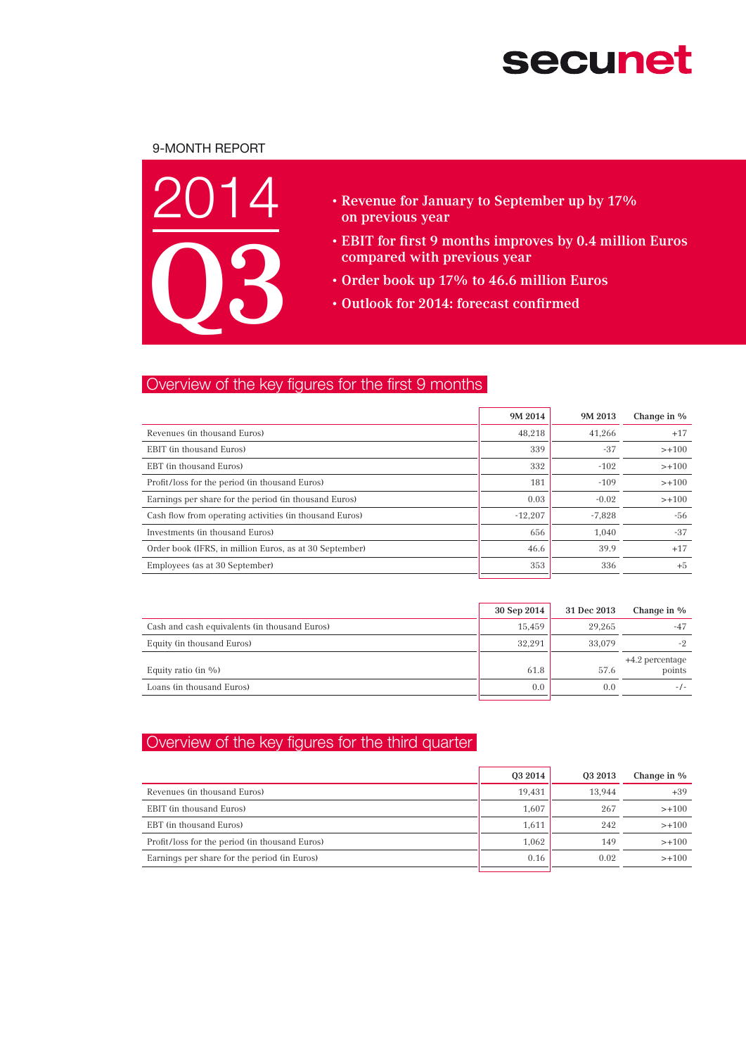# **secunet**

## 9-month Report



- • Revenue for January to September up by 17% on previous year
- EBIT for first 9 months improves by 0.4 million Euros compared with previous year
- • Order book up 17% to 46.6 million Euros
- • Outlook for 2014: forecast confirmed

## Overview of the key figures for the first 9 months

|                                                         | 9M 2014   | 9M 2013  | Change in % |
|---------------------------------------------------------|-----------|----------|-------------|
| Revenues (in thousand Euros)                            | 48.218    | 41.266   | $+17$       |
| EBIT (in thousand Euros)                                | 339       | $-37$    | $> +100$    |
| EBT (in thousand Euros)                                 | 332       | $-102$   | $> +100$    |
| Profit/loss for the period (in thousand Euros)          | 181       | $-109$   | $> +100$    |
| Earnings per share for the period (in thousand Euros)   | 0.03      | $-0.02$  | $> +100$    |
| Cash flow from operating activities (in thousand Euros) | $-12.207$ | $-7.828$ | -56         |
| Investments (in thousand Euros)                         | 656       | 1.040    | $-37$       |
| Order book (IFRS, in million Euros, as at 30 September) | 46.6      | 39.9     | $+17$       |
| Employees (as at 30 September)                          | 353       | 336      | $+5$        |

|                                               | 30 Sep 2014 | 31 Dec 2013 | Change in %               |
|-----------------------------------------------|-------------|-------------|---------------------------|
| Cash and cash equivalents (in thousand Euros) | 15.459      | 29.265      | $-47$                     |
| Equity (in thousand Euros)                    | 32.291      | 33,079      | $-2$                      |
| Equity ratio (in $\%$ )                       | 61.8        | 57.6        | +4.2 percentage<br>points |
| Loans (in thousand Euros)                     | 0.0         | 0.0         | $-1-$                     |

## Overview of the key figures for the third quarter

|                                                | 03 2014 | 03 2013 | Change in % |
|------------------------------------------------|---------|---------|-------------|
| Revenues (in thousand Euros)                   | 19.431  | 13.944  | $+39$       |
| EBIT (in thousand Euros)                       | 1.607   | 267     | $> +100$    |
| EBT (in thousand Euros)                        | 1,611   | 242     | $> +100$    |
| Profit/loss for the period (in thousand Euros) | 1.062   | 149     | $> +100$    |
| Earnings per share for the period (in Euros)   | 0.16    | 0.02    | $> +100$    |
|                                                |         |         |             |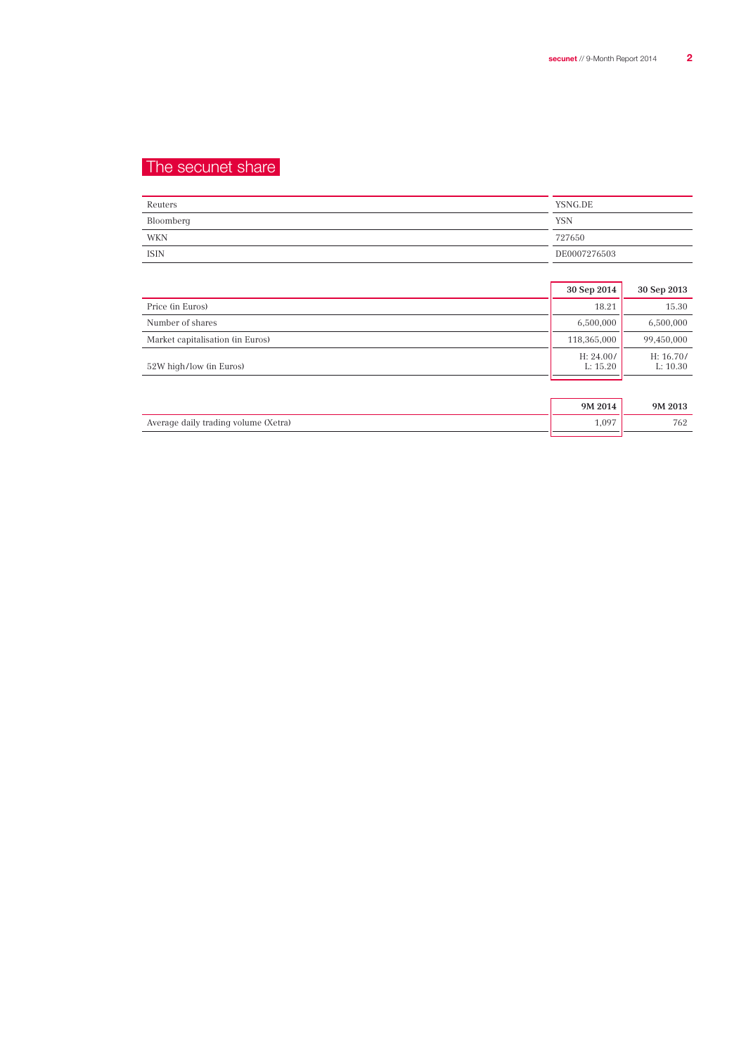## The secunet share

| Reuters     | YSNG.DE      |
|-------------|--------------|
| Bloomberg   | <b>YSN</b>   |
| WKN         | 727650       |
| <b>ISIN</b> | DE0007276503 |

|                                  | 30 Sep 2014           | 30 Sep 2013           |
|----------------------------------|-----------------------|-----------------------|
| Price (in Euros)                 | 18.21                 | 15.30                 |
| Number of shares                 | 6,500,000             | 6,500,000             |
| Market capitalisation (in Euros) | 118,365,000           | 99,450,000            |
| 52W high/low (in Euros)          | H: 24.00/<br>L: 15.20 | H: 16.70/<br>L: 10.30 |
|                                  |                       |                       |
|                                  | 9M 2014               | 9M 2013               |

Average daily trading volume (Xetra) 1,097 1,097 1,097 1,097 1,097 1,097 1,097 1,097 1,097 1,097 1,097 1,097 1,097 1,097 1,097 1,097 1,097 1,097 1,097 1,097 1,097 1,097 1,097 1,097 1,097 1,097 1,097 1,097 1,097 1,097 1,097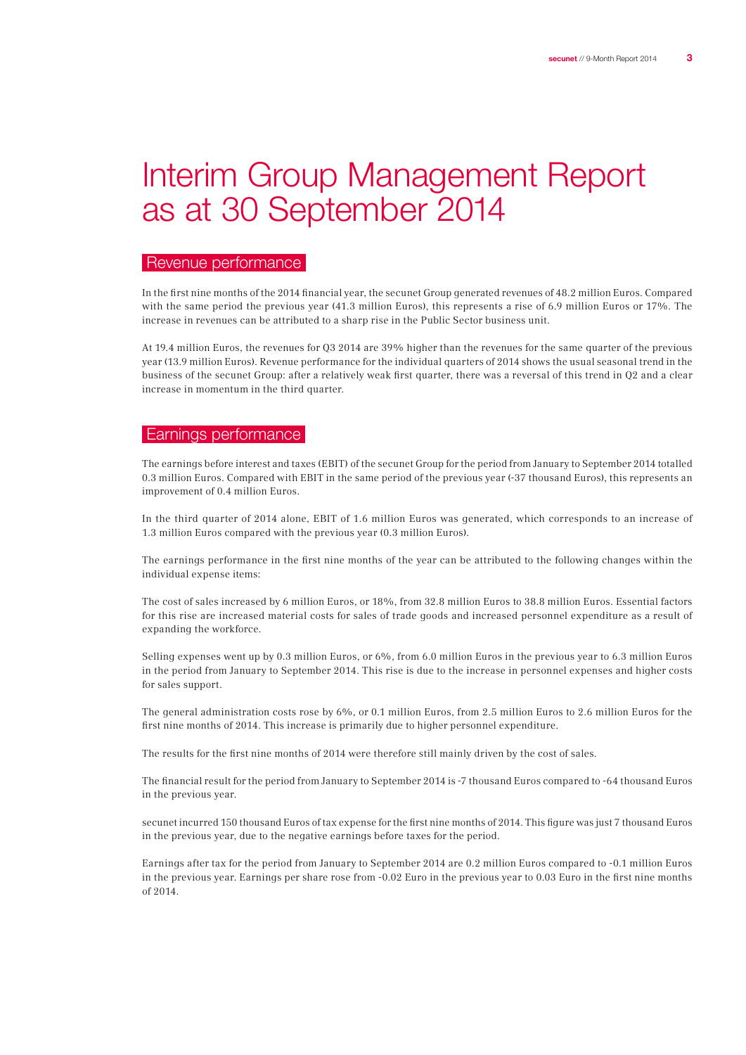## Interim Group Management Report as at 30 September 2014

## Revenue performance

In the first nine months of the 2014 financial year, the secunet Group generated revenues of 48.2 million Euros. Compared with the same period the previous year (41.3 million Euros), this represents a rise of 6.9 million Euros or 17%. The increase in revenues can be attributed to a sharp rise in the Public Sector business unit.

At 19.4 million Euros, the revenues for Q3 2014 are 39% higher than the revenues for the same quarter of the previous year (13.9 million Euros). Revenue performance for the individual quarters of 2014 shows the usual seasonal trend in the business of the secunet Group: after a relatively weak first quarter, there was a reversal of this trend in Q2 and a clear increase in momentum in the third quarter.

## Earnings performance

The earnings before interest and taxes (EBIT) of the secunet Group for the period from January to September 2014 totalled 0.3 million Euros. Compared with EBIT in the same period of the previous year (-37 thousand Euros), this represents an improvement of 0.4 million Euros.

In the third quarter of 2014 alone, EBIT of 1.6 million Euros was generated, which corresponds to an increase of 1.3 million Euros compared with the previous year (0.3 million Euros).

The earnings performance in the first nine months of the year can be attributed to the following changes within the individual expense items:

The cost of sales increased by 6 million Euros, or 18%, from 32.8 million Euros to 38.8 million Euros. Essential factors for this rise are increased material costs for sales of trade goods and increased personnel expenditure as a result of expanding the workforce.

Selling expenses went up by 0.3 million Euros, or 6%, from 6.0 million Euros in the previous year to 6.3 million Euros in the period from January to September 2014. This rise is due to the increase in personnel expenses and higher costs for sales support.

The general administration costs rose by 6%, or 0.1 million Euros, from 2.5 million Euros to 2.6 million Euros for the first nine months of 2014. This increase is primarily due to higher personnel expenditure.

The results for the first nine months of 2014 were therefore still mainly driven by the cost of sales.

The financial result for the period from January to September 2014 is -7 thousand Euros compared to -64 thousand Euros in the previous year.

secunet incurred 150 thousand Euros of tax expense for the first nine months of 2014. This figure was just 7 thousand Euros in the previous year, due to the negative earnings before taxes for the period.

Earnings after tax for the period from January to September 2014 are 0.2 million Euros compared to -0.1 million Euros in the previous year. Earnings per share rose from -0.02 Euro in the previous year to 0.03 Euro in the first nine months of 2014.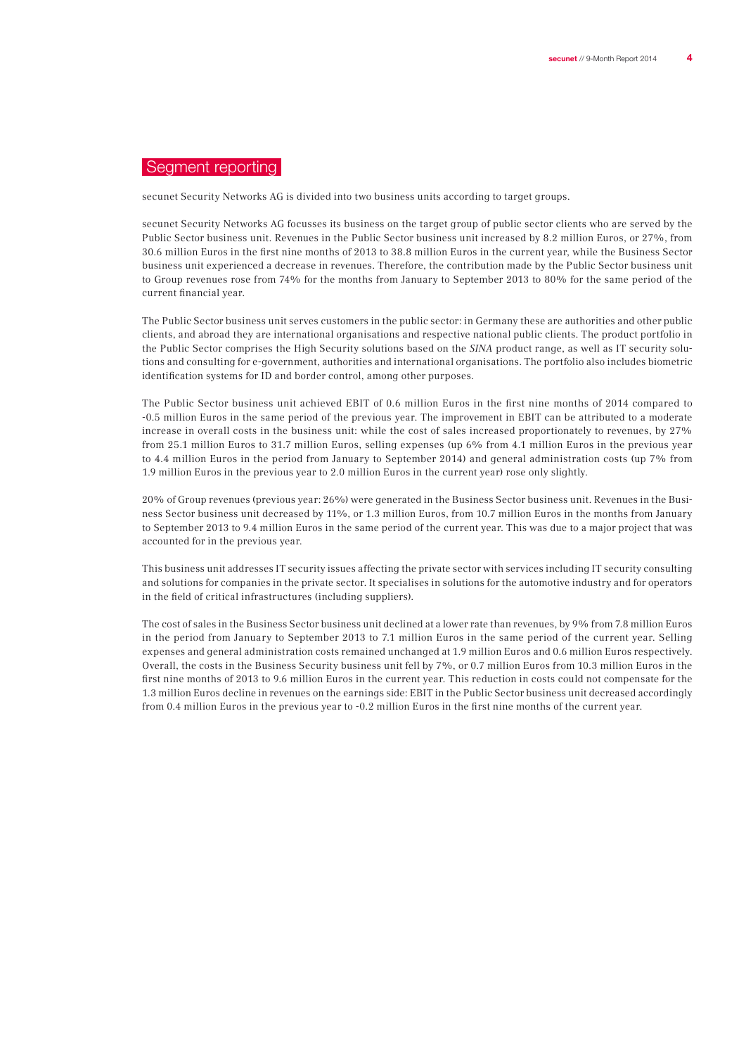## Segment reporting

secunet Security Networks AG is divided into two business units according to target groups.

secunet Security Networks AG focusses its business on the target group of public sector clients who are served by the Public Sector business unit. Revenues in the Public Sector business unit increased by 8.2 million Euros, or 27%, from 30.6 million Euros in the first nine months of 2013 to 38.8 million Euros in the current year, while the Business Sector business unit experienced a decrease in revenues. Therefore, the contribution made by the Public Sector business unit to Group revenues rose from 74% for the months from January to September 2013 to 80% for the same period of the current financial year.

The Public Sector business unit serves customers in the public sector: in Germany these are authorities and other public clients, and abroad they are international organisations and respective national public clients. The product portfolio in the Public Sector comprises the High Security solutions based on the SINA product range, as well as IT security solutions and consulting for e-government, authorities and international organisations. The portfolio also includes biometric identification systems for ID and border control, among other purposes.

The Public Sector business unit achieved EBIT of 0.6 million Euros in the first nine months of 2014 compared to -0.5 million Euros in the same period of the previous year. The improvement in EBIT can be attributed to a moderate increase in overall costs in the business unit: while the cost of sales increased proportionately to revenues, by 27% from 25.1 million Euros to 31.7 million Euros, selling expenses (up 6% from 4.1 million Euros in the previous year to 4.4 million Euros in the period from January to September 2014) and general administration costs (up 7% from 1.9 million Euros in the previous year to 2.0 million Euros in the current year) rose only slightly.

20% of Group revenues (previous year: 26%) were generated in the Business Sector business unit. Revenues in the Business Sector business unit decreased by 11%, or 1.3 million Euros, from 10.7 million Euros in the months from January to September 2013 to 9.4 million Euros in the same period of the current year. This was due to a major project that was accounted for in the previous year.

This business unit addresses IT security issues affecting the private sector with services including IT security consulting and solutions for companies in the private sector. It specialises in solutions for the automotive industry and for operators in the field of critical infrastructures (including suppliers).

The cost of sales in the Business Sector business unit declined at a lower rate than revenues, by 9% from 7.8 million Euros in the period from January to September 2013 to 7.1 million Euros in the same period of the current year. Selling expenses and general administration costs remained unchanged at 1.9 million Euros and 0.6 million Euros respectively. Overall, the costs in the Business Security business unit fell by 7%, or 0.7 million Euros from 10.3 million Euros in the first nine months of 2013 to 9.6 million Euros in the current year. This reduction in costs could not compensate for the 1.3 million Euros decline in revenues on the earnings side: EBIT in the Public Sector business unit decreased accordingly from 0.4 million Euros in the previous year to -0.2 million Euros in the first nine months of the current year.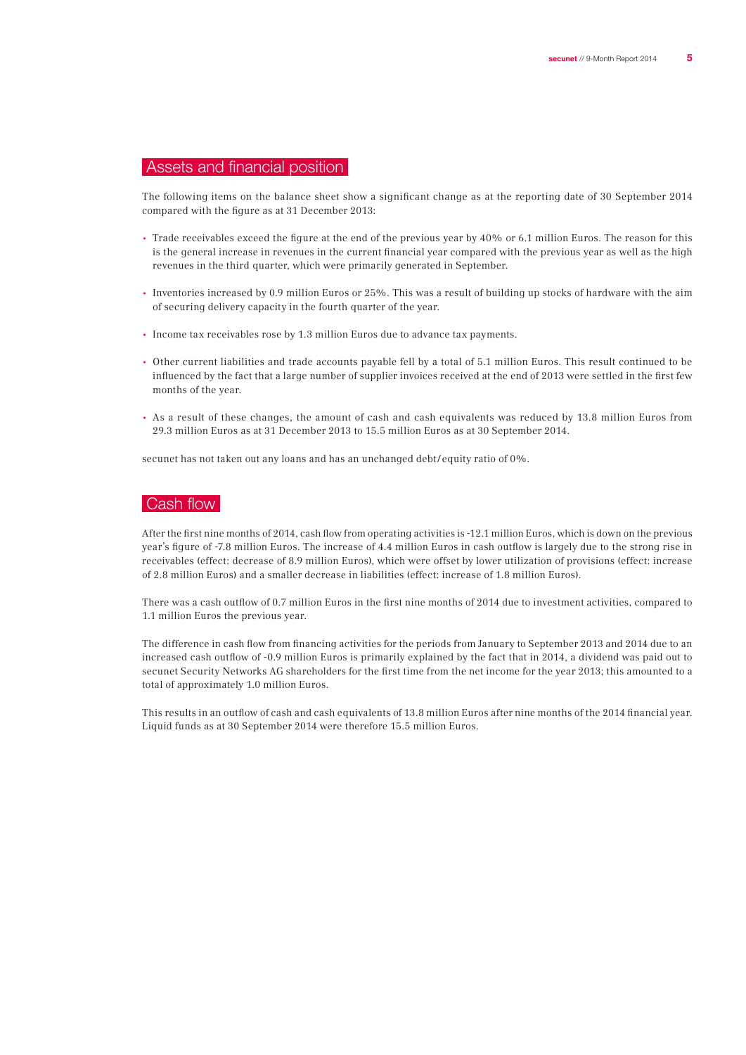## Assets and financial position

The following items on the balance sheet show a significant change as at the reporting date of 30 September 2014 compared with the figure as at 31 December 2013:

- Trade receivables exceed the figure at the end of the previous year by 40% or 6.1 million Euros. The reason for this is the general increase in revenues in the current financial year compared with the previous year as well as the high revenues in the third quarter, which were primarily generated in September.
- Inventories increased by 0.9 million Euros or 25%. This was a result of building up stocks of hardware with the aim of securing delivery capacity in the fourth quarter of the year.
- Income tax receivables rose by 1.3 million Euros due to advance tax payments.
- Other current liabilities and trade accounts payable fell by a total of 5.1 million Euros. This result continued to be influenced by the fact that a large number of supplier invoices received at the end of 2013 were settled in the first few months of the year.
- As a result of these changes, the amount of cash and cash equivalents was reduced by 13.8 million Euros from 29.3 million Euros as at 31 December 2013 to 15.5 million Euros as at 30 September 2014.

secunet has not taken out any loans and has an unchanged debt/equity ratio of 0%.

## Cash flow

After the first nine months of 2014, cash flow from operating activities is -12.1 million Euros, which is down on the previous year's figure of -7.8 million Euros. The increase of 4.4 million Euros in cash outflow is largely due to the strong rise in receivables (effect: decrease of 8.9 million Euros), which were offset by lower utilization of provisions (effect: increase of 2.8 million Euros) and a smaller decrease in liabilities (effect: increase of 1.8 million Euros).

There was a cash outflow of 0.7 million Euros in the first nine months of 2014 due to investment activities, compared to 1.1 million Euros the previous year.

The difference in cash flow from financing activities for the periods from January to September 2013 and 2014 due to an increased cash outflow of -0.9 million Euros is primarily explained by the fact that in 2014, a dividend was paid out to secunet Security Networks AG shareholders for the first time from the net income for the year 2013; this amounted to a total of approximately 1.0 million Euros.

This results in an outflow of cash and cash equivalents of 13.8 million Euros after nine months of the 2014 financial year. Liquid funds as at 30 September 2014 were therefore 15.5 million Euros.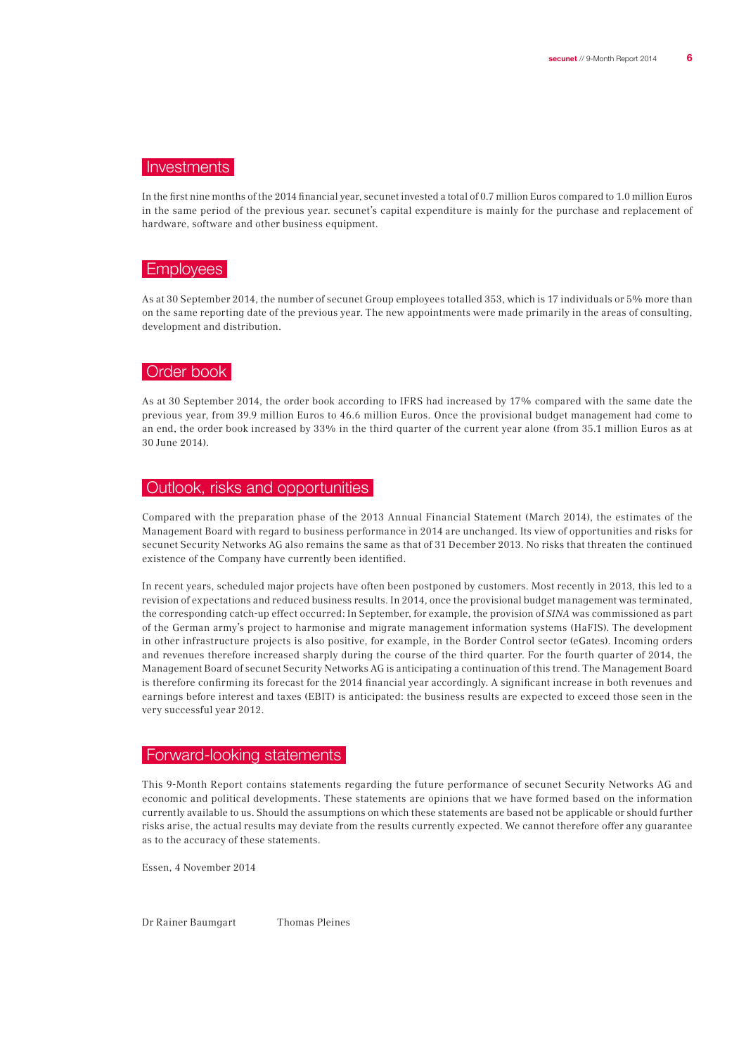#### Investments

In the first nine months of the 2014 financial year, secunet invested a total of 0.7 million Euros compared to 1.0 million Euros in the same period of the previous year. secunet's capital expenditure is mainly for the purchase and replacement of hardware, software and other business equipment.

## Employees

As at 30 September 2014, the number of secunet Group employees totalled 353, which is 17 individuals or 5% more than on the same reporting date of the previous year. The new appointments were made primarily in the areas of consulting, development and distribution.

#### Order book

As at 30 September 2014, the order book according to IFRS had increased by 17% compared with the same date the previous year, from 39.9 million Euros to 46.6 million Euros. Once the provisional budget management had come to an end, the order book increased by 33% in the third quarter of the current year alone (from 35.1 million Euros as at 30 June 2014).

## Outlook, risks and opportunities

Compared with the preparation phase of the 2013 Annual Financial Statement (March 2014), the estimates of the Management Board with regard to business performance in 2014 are unchanged. Its view of opportunities and risks for secunet Security Networks AG also remains the same as that of 31 December 2013. No risks that threaten the continued existence of the Company have currently been identified.

In recent years, scheduled major projects have often been postponed by customers. Most recently in 2013, this led to a revision of expectations and reduced business results. In 2014, once the provisional budget management was terminated, the corresponding catch-up effect occurred: In September, for example, the provision of SINA was commissioned as part of the German army's project to harmonise and migrate management information systems (HaFIS). The development in other infrastructure projects is also positive, for example, in the Border Control sector (eGates). Incoming orders and revenues therefore increased sharply during the course of the third quarter. For the fourth quarter of 2014, the Management Board of secunet Security Networks AG is anticipating a continuation of this trend. The Management Board is therefore confirming its forecast for the 2014 financial year accordingly. A significant increase in both revenues and earnings before interest and taxes (EBIT) is anticipated: the business results are expected to exceed those seen in the very successful year 2012.

#### Forward-looking statements

This 9-Month Report contains statements regarding the future performance of secunet Security Networks AG and economic and political developments. These statements are opinions that we have formed based on the information currently available to us. Should the assumptions on which these statements are based not be applicable or should further risks arise, the actual results may deviate from the results currently expected. We cannot therefore offer any guarantee as to the accuracy of these statements.

Essen, 4 November 2014

Dr Rainer Baumgart Thomas Pleines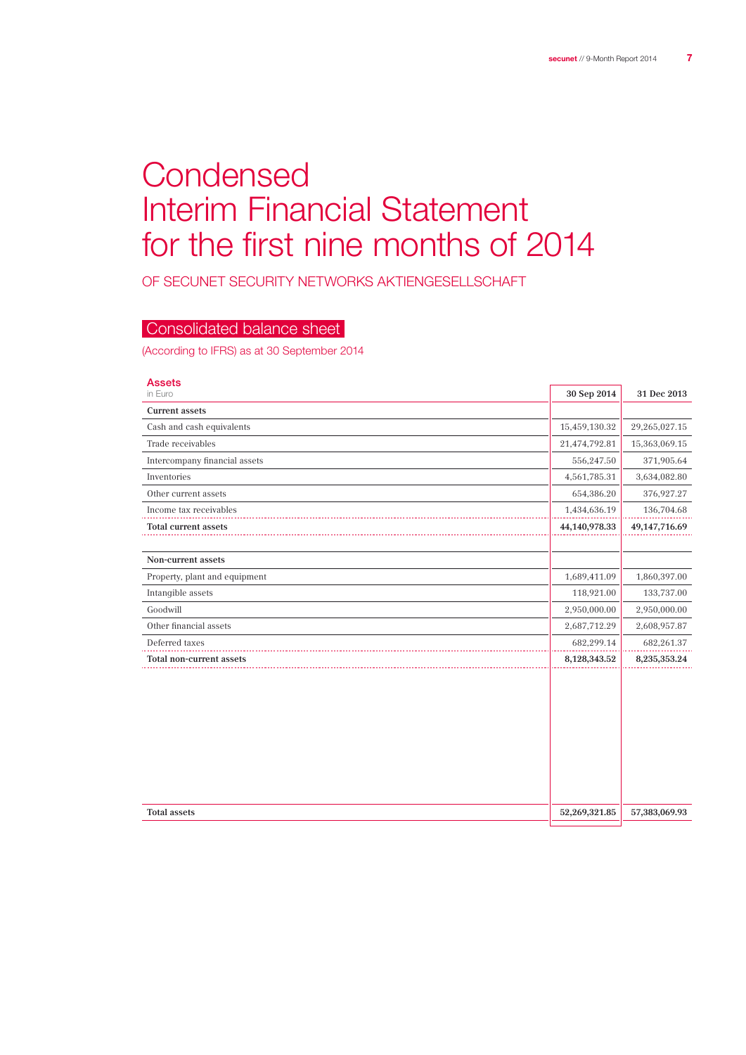# **Condensed** Interim Financial Statement for the first nine months of 2014

OF SECUNET SECURITY NETWORKS Aktiengesellschaft

## Consolidated balance sheet

(According to IFRS) as at 30 September 2014

| <b>Assets</b><br>in Euro      | 30 Sep 2014   | 31 Dec 2013        |
|-------------------------------|---------------|--------------------|
| <b>Current assets</b>         |               |                    |
| Cash and cash equivalents     | 15,459,130.32 | 29,265,027.15      |
| Trade receivables             | 21,474,792.81 | 15,363,069.15      |
| Intercompany financial assets | 556,247.50    | 371,905.64         |
| Inventories                   | 4,561,785.31  | 3,634,082.80       |
| Other current assets          | 654,386.20    | 376,927.27         |
| Income tax receivables        | 1,434,636.19  | 136,704.68         |
| Total current assets          | 44,140,978.33 | 49, 147, 716.69    |
|                               |               |                    |
| Non-current assets            |               |                    |
| Property, plant and equipment | 1,689,411.09  | 1,860,397.00       |
| Intangible assets             | 118,921.00    | 133,737.00         |
| Goodwill                      | 2,950,000.00  | 2,950,000.00       |
| Other financial assets        | 2,687,712.29  | 2,608,957.87       |
| Deferred taxes                | 682,299.14    | 682,261.37         |
| Total non-current assets      | 8,128,343.52  | $8,\!235,\!353.24$ |
|                               |               |                    |
| <b>Total assets</b>           | 52,269,321.85 | 57,383,069.93      |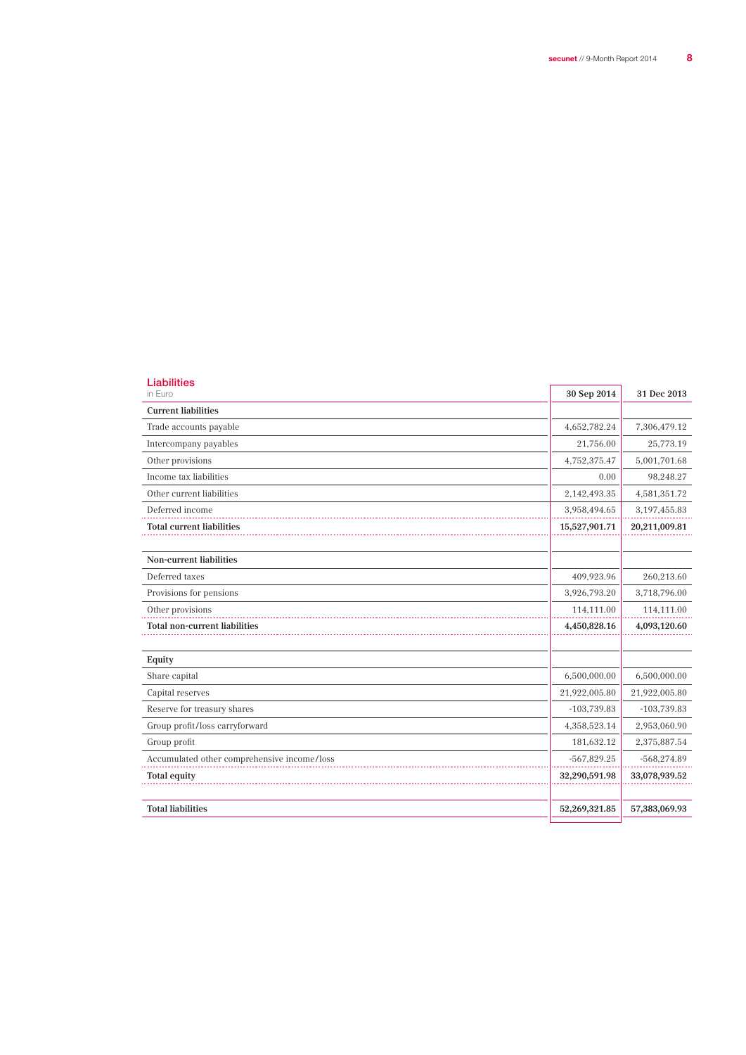| Liabilities<br>in Euro                      | 30 Sep 2014   | 31 Dec 2013    |
|---------------------------------------------|---------------|----------------|
| <b>Current liabilities</b>                  |               |                |
| Trade accounts payable                      | 4,652,782.24  | 7,306,479.12   |
| Intercompany payables                       | 21,756.00     | 25,773.19      |
| Other provisions                            | 4,752,375.47  | 5,001,701.68   |
| Income tax liabilities                      | 0.00          | 98,248.27      |
| Other current liabilities                   | 2,142,493.35  | 4,581,351.72   |
| Deferred income                             | 3,958,494.65  | 3, 197, 455.83 |
| <b>Total current liabilities</b>            | 15,527,901.71 | 20,211,009.81  |
|                                             |               |                |
| <b>Non-current liabilities</b>              |               |                |
| Deferred taxes                              | 409,923.96    | 260,213.60     |
| Provisions for pensions                     | 3,926,793.20  | 3,718,796.00   |
| Other provisions                            | 114,111.00    | 114,111.00     |
| <b>Total non-current liabilities</b>        | 4,450,828.16  | 4,093,120.60   |
| Equity                                      |               |                |
| Share capital                               | 6,500,000.00  | 6,500,000.00   |
| Capital reserves                            | 21,922,005.80 | 21,922,005.80  |
| Reserve for treasury shares                 | $-103,739.83$ | $-103,739.83$  |
| Group profit/loss carryforward              | 4,358,523.14  | 2,953,060.90   |
| Group profit                                | 181,632.12    | 2,375,887.54   |
| Accumulated other comprehensive income/loss | $-567,829.25$ | $-568,274.89$  |
| <b>Total equity</b>                         | 32,290,591.98 | 33,078,939.52  |
| <b>Total liabilities</b>                    | 52,269,321.85 | 57,383,069.93  |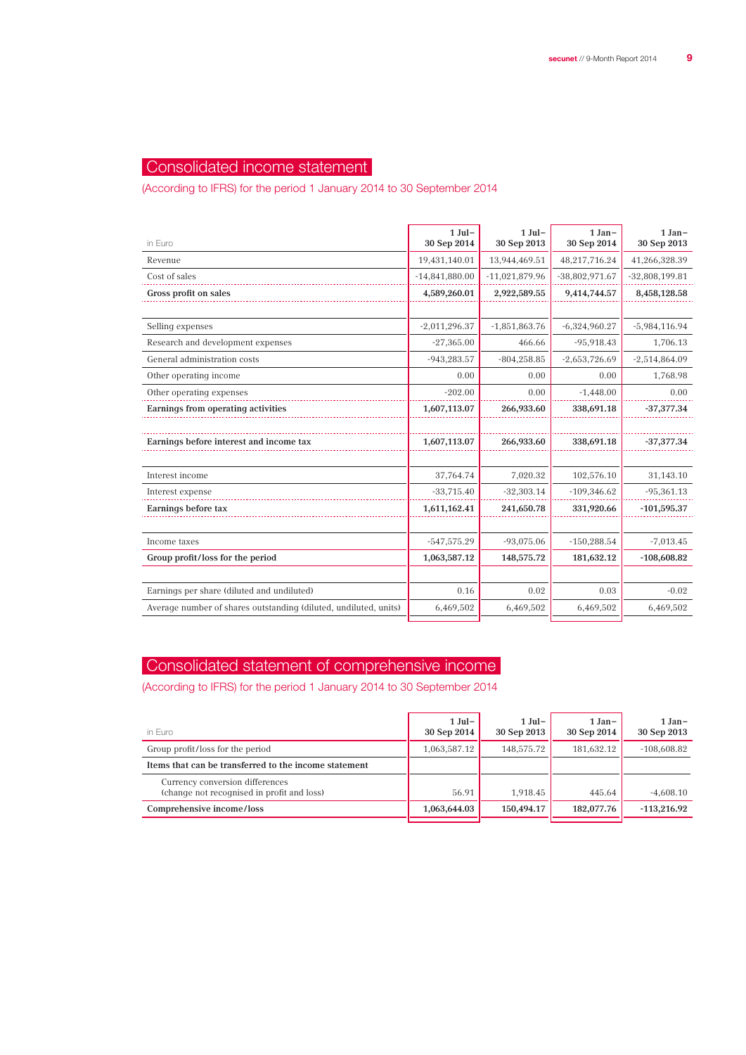## Consolidated income statement

(According to IFRS) for the period 1 January 2014 to 30 September 2014

| in Euro                                                          | $1$ Jul-<br>30 Sep 2014 | $1$ Jul-<br>30 Sep 2013 | $1 Jan-$<br>30 Sep 2014 | 1 Jan-<br>30 Sep 2013 |
|------------------------------------------------------------------|-------------------------|-------------------------|-------------------------|-----------------------|
| Revenue                                                          | 19,431,140.01           | 13,944,469.51           | 48,217,716.24           | 41,266,328.39         |
| Cost of sales                                                    | $-14,841,880.00$        | $-11,021,879.96$        | $-38,802,971.67$        | $-32,808,199.81$      |
| Gross profit on sales                                            | 4,589,260.01            | 2,922,589.55            | 9,414,744.57            | 8,458,128.58          |
|                                                                  |                         |                         |                         |                       |
| Selling expenses                                                 | $-2,011,296.37$         | $-1,851,863.76$         | $-6,324,960.27$         | $-5,984,116.94$       |
| Research and development expenses                                | $-27,365.00$            | 466.66                  | $-95,918.43$            | 1,706.13              |
| General administration costs                                     | $-943,283.57$           | $-804,258.85$           | $-2,653,726.69$         | $-2,514,864.09$       |
| Other operating income                                           | 0.00                    | 0.00                    | 0.00                    | 1,768.98              |
| Other operating expenses                                         | $-202.00$               | 0.00                    | $-1,448.00$             | 0.00                  |
| Earnings from operating activities                               | 1,607,113.07            | 266,933.60              | 338,691.18              | $-37,377.34$          |
|                                                                  |                         |                         |                         |                       |
| Earnings before interest and income tax                          | 1,607,113.07            | 266,933.60              | 338,691.18              | $-37,377.34$          |
|                                                                  |                         |                         |                         |                       |
| Interest income                                                  | 37,764.74               | 7,020.32                | 102,576.10              | 31,143.10             |
| Interest expense                                                 | $-33,715.40$            | $-32,303.14$            | $-109,346.62$           | $-95,361.13$          |
| Earnings before tax                                              | 1,611,162.41            | 241,650.78              | 331,920.66              | $-101,595.37$         |
|                                                                  |                         |                         |                         |                       |
| Income taxes                                                     | $-547,575.29$           | $-93,075.06$            | $-150,288.54$           | $-7,013.45$           |
| Group profit/loss for the period                                 | 1,063,587.12            | 148,575.72              | 181,632.12              | $-108,608.82$         |
|                                                                  |                         |                         |                         |                       |
| Earnings per share (diluted and undiluted)                       | 0.16                    | 0.02                    | 0.03                    | $-0.02$               |
| Average number of shares outstanding (diluted, undiluted, units) | 6,469,502               | 6,469,502               | 6,469,502               | 6,469,502             |
|                                                                  |                         |                         |                         |                       |

## Consolidated statement of comprehensive income

(According to IFRS) for the period 1 January 2014 to 30 September 2014

| in Euro                                                                       | $1$ Jul –<br>30 Sep 2014 | $1$ Jul –<br>30 Sep 2013 | $1 Jan-$<br>30 Sep 2014 | $1 Jan-$<br>30 Sep 2013 |
|-------------------------------------------------------------------------------|--------------------------|--------------------------|-------------------------|-------------------------|
| Group profit/loss for the period                                              | 1,063,587.12             | 148,575.72               | 181,632.12              | $-108,608.82$           |
| Items that can be transferred to the income statement                         |                          |                          |                         |                         |
| Currency conversion differences<br>(change not recognised in profit and loss) | 56.91                    | 1.918.45                 | 445.64                  | $-4.608.10$             |
| Comprehensive income/loss                                                     | 1,063,644.03             | 150.494.17               | 182,077.76              | $-113.216.92$           |
|                                                                               |                          |                          |                         |                         |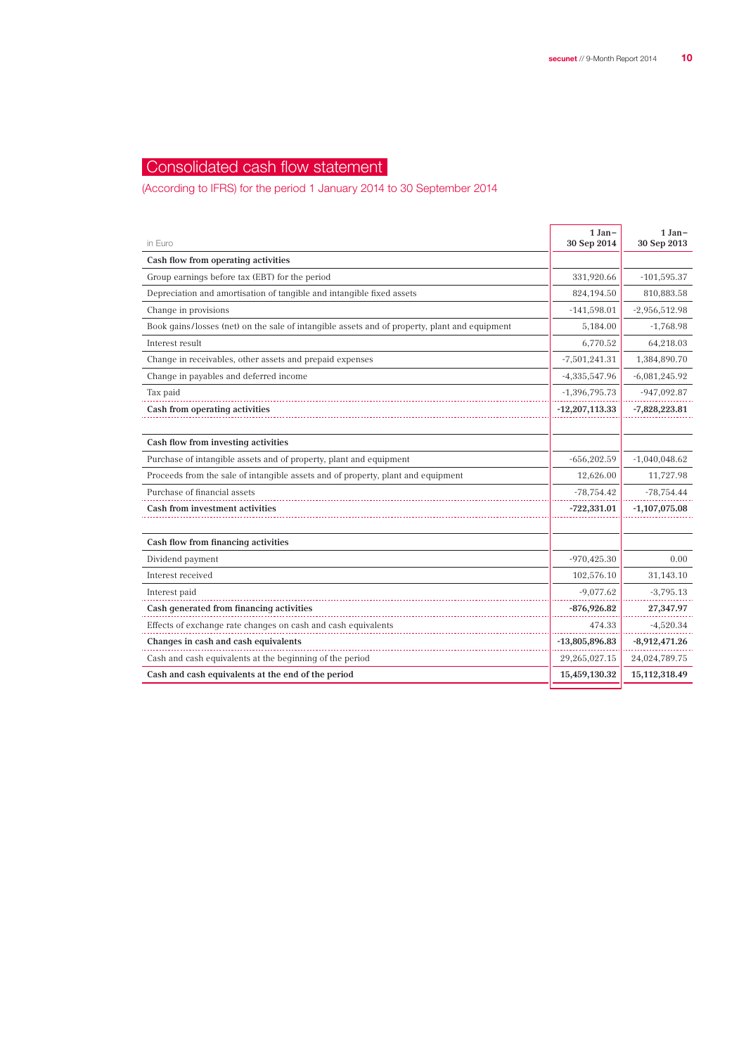## Consolidated cash flow statement

(According to IFRS) for the period 1 January 2014 to 30 September 2014

| in Euro                                                                                       | $1 Jan-$<br>30 Sep 2014 | $1 Jan-$<br>30 Sep 2013 |
|-----------------------------------------------------------------------------------------------|-------------------------|-------------------------|
| Cash flow from operating activities                                                           |                         |                         |
| Group earnings before tax (EBT) for the period                                                | 331,920.66              | $-101,595.37$           |
| Depreciation and amortisation of tangible and intangible fixed assets                         | 824,194.50              | 810,883.58              |
| Change in provisions                                                                          | $-141,598.01$           | $-2,956,512.98$         |
| Book gains/losses (net) on the sale of intangible assets and of property, plant and equipment | 5,184.00                | $-1,768.98$             |
| Interest result                                                                               | 6,770.52                | 64,218.03               |
| Change in receivables, other assets and prepaid expenses                                      | $-7,501,241.31$         | 1,384,890.70            |
| Change in payables and deferred income                                                        | $-4,335,547.96$         | $-6,081,245.92$         |
| Tax paid                                                                                      | $-1,396,795.73$         | $-947,092.87$           |
| Cash from operating activities                                                                | $-12,207,113.33$        | $-7,828,223.81$         |
|                                                                                               |                         |                         |
| Cash flow from investing activities                                                           |                         |                         |
| Purchase of intangible assets and of property, plant and equipment                            | $-656,202.59$           | $-1,040,048.62$         |
| Proceeds from the sale of intangible assets and of property, plant and equipment              | 12,626.00               | 11,727.98               |
| Purchase of financial assets                                                                  | $-78,754.42$            | $-78,754.44$            |
| Cash from investment activities                                                               | $-722,331.01$           | $-1,107,075.08$         |
|                                                                                               |                         |                         |
| Cash flow from financing activities                                                           |                         |                         |
| Dividend payment                                                                              | $-970,425.30$           | 0.00                    |
| Interest received                                                                             | 102,576.10              | 31,143.10               |
| Interest paid                                                                                 | $-9,077.62$             | $-3,795.13$             |
| Cash generated from financing activities                                                      | $-876,926.82$           | 27,347.97               |
| Effects of exchange rate changes on cash and cash equivalents                                 | 474.33                  | $-4,520.34$             |
| Changes in cash and cash equivalents                                                          | $-13,805,896.83$        | $-8,912,471.26$         |
| Cash and cash equivalents at the beginning of the period                                      | 29,265,027.15           | 24,024,789.75           |
| Cash and cash equivalents at the end of the period                                            | 15,459,130.32           | 15, 112, 318.49         |
|                                                                                               |                         |                         |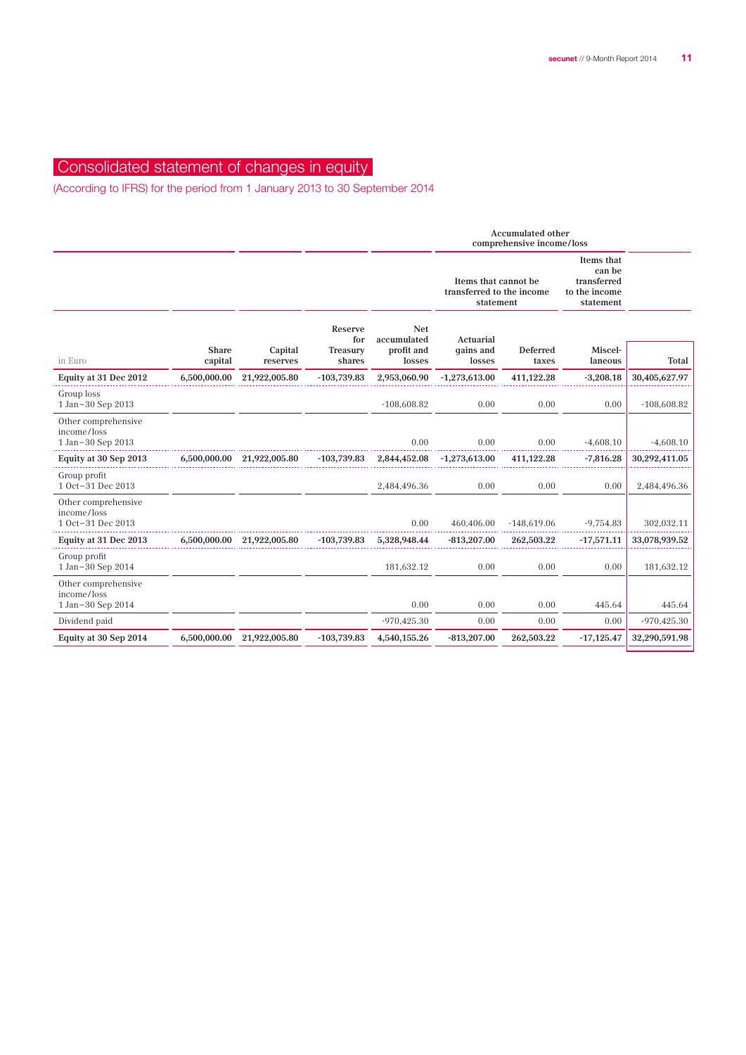## Consolidated statement of changes in equity

(According to IFRS) for the period from 1 January 2013 to 30 September 2014

|              |               |                                       |                           | <b>Accumulated other</b><br>comprehensive income/loss          |                   |                                                                   |                                  |
|--------------|---------------|---------------------------------------|---------------------------|----------------------------------------------------------------|-------------------|-------------------------------------------------------------------|----------------------------------|
|              |               |                                       |                           | Items that cannot be<br>transferred to the income<br>statement |                   | Items that<br>can be<br>transferred<br>to the income<br>statement |                                  |
|              |               | Reserve<br>for                        | <b>Net</b><br>accumulated | Actuarial                                                      |                   |                                                                   |                                  |
| capital      | reserves      | shares                                | losses                    | losses                                                         | taxes             | laneous                                                           | Total                            |
| 6,500,000.00 | 21,922,005.80 | $-103,739.83$                         | 2,953,060.90              | $-1,273,613.00$                                                | 411,122.28        | $-3,208.18$                                                       | 30,405,627.97                    |
|              |               |                                       | $-108,608.82$             | 0.00                                                           | 0.00              | 0.00                                                              | $-108,608.82$                    |
|              |               |                                       | 0.00                      | 0.00                                                           | 0.00              | $-4,608.10$                                                       | $-4,608.10$                      |
|              |               | $-103,739.83$                         | 2,844,452.08              | $-1,273,613.00$                                                | 411,122.28        | $-7,816.28$                                                       | 30,292,411.05                    |
|              |               |                                       | 2,484,496.36              | 0.00                                                           | 0.00              | 0.00                                                              | 2,484,496.36                     |
|              |               |                                       | 0.00                      | 460,406.00                                                     |                   |                                                                   | 302,032.11                       |
| 6,500,000.00 | 21,922,005.80 | $-103,739.83$                         | 5,328,948.44              | $-813,207.00$                                                  | 262,503.22        | $-17,571.11$                                                      | 33,078,939.52                    |
|              |               |                                       | 181,632.12                | 0.00                                                           | 0.00              | 0.00                                                              | 181,632.12                       |
|              |               |                                       |                           |                                                                |                   |                                                                   | 445.64                           |
|              |               |                                       | $-970,425.30$             | 0.00                                                           | 0.00              | 0.00                                                              | $-970,425.30$                    |
| 6,500,000.00 | 21,922,005.80 | $-103,739.83$                         | 4,540,155.26              | $-813,207.00$                                                  | 262,503.22        | $-17,125.47$                                                      | 32,290,591.98                    |
|              | <b>Share</b>  | Capital<br>6,500,000.00 21,922,005.80 | Treasury                  | profit and<br>0.00                                             | qains and<br>0.00 | Deferred<br>$-148,619.06$<br>0.00                                 | Miscel-<br>$-9,754.83$<br>445.64 |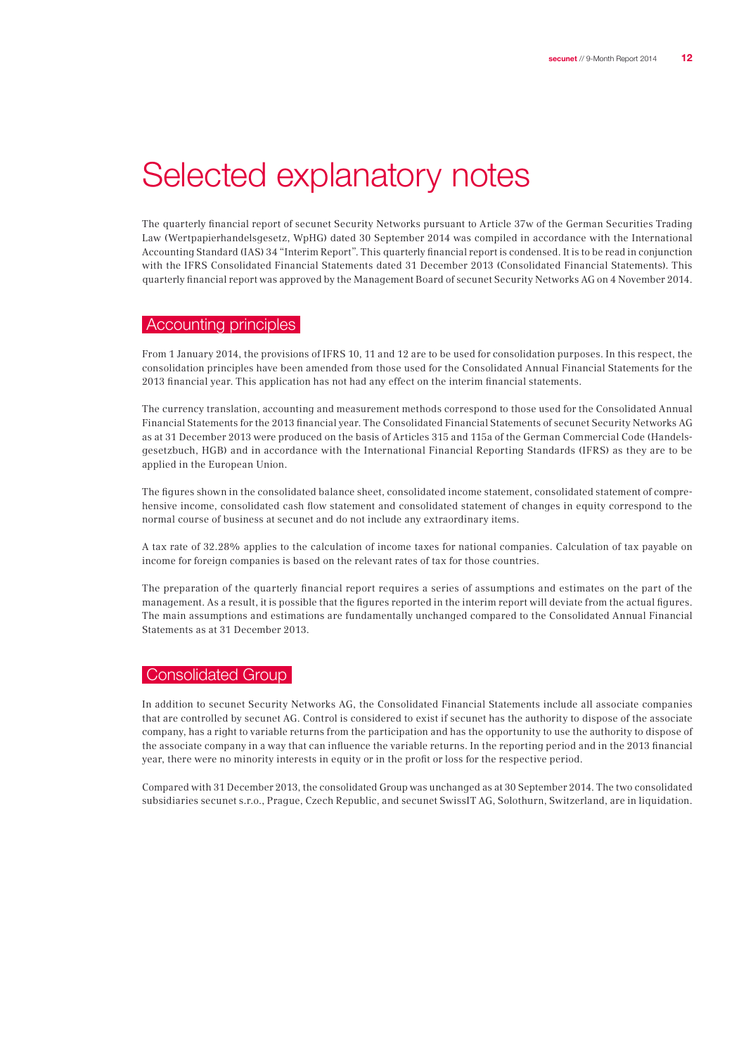# Selected explanatory notes

The quarterly financial report of secunet Security Networks pursuant to Article 37w of the German Securities Trading Law (Wertpapierhandelsgesetz, WpHG) dated 30 September 2014 was compiled in accordance with the International Accounting Standard (IAS) 34 "Interim Report". This quarterly financial report is condensed. It is to be read in conjunction with the IFRS Consolidated Financial Statements dated 31 December 2013 (Consolidated Financial Statements). This quarterly financial report was approved by the Management Board of secunet Security Networks AG on 4 November 2014.

#### Accounting principles

From 1 January 2014, the provisions of IFRS 10, 11 and 12 are to be used for consolidation purposes. In this respect, the consolidation principles have been amended from those used for the Consolidated Annual Financial Statements for the 2013 financial year. This application has not had any effect on the interim financial statements.

The currency translation, accounting and measurement methods correspond to those used for the Consolidated Annual Financial Statements for the 2013 financial year. The Consolidated Financial Statements of secunet Security Networks AG as at 31 December 2013 were produced on the basis of Articles 315 and 115a of the German Commercial Code (Handelsgesetzbuch, HGB) and in accordance with the International Financial Reporting Standards (IFRS) as they are to be applied in the European Union.

The figures shown in the consolidated balance sheet, consolidated income statement, consolidated statement of comprehensive income, consolidated cash flow statement and consolidated statement of changes in equity correspond to the normal course of business at secunet and do not include any extraordinary items.

A tax rate of 32.28% applies to the calculation of income taxes for national companies. Calculation of tax payable on income for foreign companies is based on the relevant rates of tax for those countries.

The preparation of the quarterly financial report requires a series of assumptions and estimates on the part of the management. As a result, it is possible that the figures reported in the interim report will deviate from the actual figures. The main assumptions and estimations are fundamentally unchanged compared to the Consolidated Annual Financial Statements as at 31 December 2013.

## **Consolidated Group**

In addition to secunet Security Networks AG, the Consolidated Financial Statements include all associate companies that are controlled by secunet AG. Control is considered to exist if secunet has the authority to dispose of the associate company, has a right to variable returns from the participation and has the opportunity to use the authority to dispose of the associate company in a way that can influence the variable returns. In the reporting period and in the 2013 financial year, there were no minority interests in equity or in the profit or loss for the respective period.

Compared with 31 December 2013, the consolidated Group was unchanged as at 30 September 2014. The two consolidated subsidiaries secunet s.r.o., Prague, Czech Republic, and secunet SwissIT AG, Solothurn, Switzerland, are in liquidation.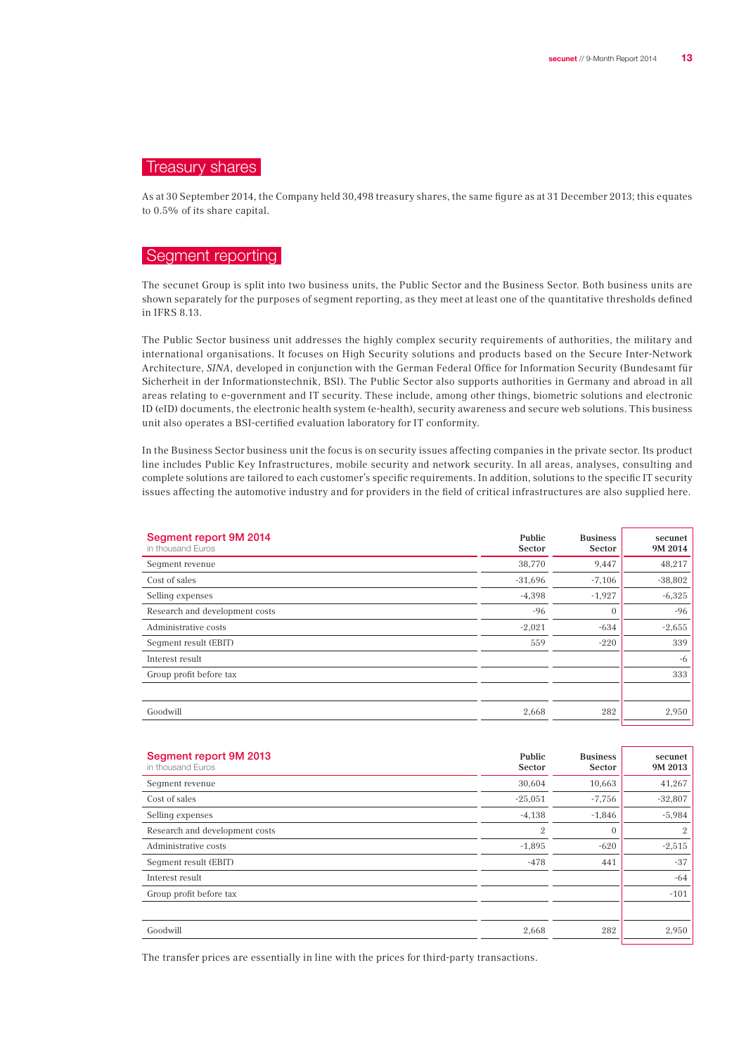## Treasury shares

As at 30 September 2014, the Company held 30,498 treasury shares, the same figure as at 31 December 2013; this equates to 0.5% of its share capital.

## Segment reporting

The secunet Group is split into two business units, the Public Sector and the Business Sector. Both business units are shown separately for the purposes of segment reporting, as they meet at least one of the quantitative thresholds defined in IFRS 8.13.

The Public Sector business unit addresses the highly complex security requirements of authorities, the military and international organisations. It focuses on High Security solutions and products based on the Secure Inter-Network Architecture, SINA, developed in conjunction with the German Federal Office for Information Security (Bundesamt für Sicherheit in der Informationstechnik, BSI). The Public Sector also supports authorities in Germany and abroad in all areas relating to e-government and IT security. These include, among other things, biometric solutions and electronic ID (eID) documents, the electronic health system (e-health), security awareness and secure web solutions. This business unit also operates a BSI-certified evaluation laboratory for IT conformity.

In the Business Sector business unit the focus is on security issues affecting companies in the private sector. Its product line includes Public Key Infrastructures, mobile security and network security. In all areas, analyses, consulting and complete solutions are tailored to each customer's specific requirements. In addition, solutions to the specific IT security issues affecting the automotive industry and for providers in the field of critical infrastructures are also supplied here.

| Segment report 9M 2014<br>in thousand Euros | Public<br>Sector | <b>Business</b><br><b>Sector</b> | secunet<br>9M 2014 |
|---------------------------------------------|------------------|----------------------------------|--------------------|
| Seqment revenue                             | 38,770           | 9,447                            | 48,217             |
| Cost of sales                               | $-31,696$        | $-7,106$                         | $-38,802$          |
| Selling expenses                            | $-4,398$         | $-1,927$                         | $-6,325$           |
| Research and development costs              | $-96$            | $\mathbf{0}$                     | $-96$              |
| Administrative costs                        | $-2,021$         | $-634$                           | $-2,655$           |
| Seqment result (EBIT)                       | 559              | $-220$                           | 339                |
| Interest result                             |                  |                                  | -6                 |
| Group profit before tax                     |                  |                                  | 333                |
|                                             |                  |                                  |                    |
| Goodwill                                    | 2,668            | 282                              | 2,950              |

| Segment report 9M 2013<br>in thousand Euros | Public<br>Sector | <b>Business</b><br>Sector | secunet<br>9M 2013 |
|---------------------------------------------|------------------|---------------------------|--------------------|
| Segment revenue                             | 30,604           | 10,663                    | 41,267             |
| Cost of sales                               | $-25,051$        | $-7,756$                  | $-32,807$          |
| Selling expenses                            | $-4,138$         | $-1,846$                  | $-5,984$           |
| Research and development costs              | $\mathbf{2}$     | $\mathbf{0}$              | $\mathbf{2}$       |
| Administrative costs                        | $-1,895$         | $-620$                    | $-2,515$           |
| Seqment result (EBIT)                       | $-478$           | 441                       | $-37$              |
| Interest result                             |                  |                           | $-64$              |
| Group profit before tax                     |                  |                           | $-101$             |
|                                             |                  |                           |                    |
| Goodwill                                    | 2,668            | 282                       | 2,950              |

The transfer prices are essentially in line with the prices for third-party transactions.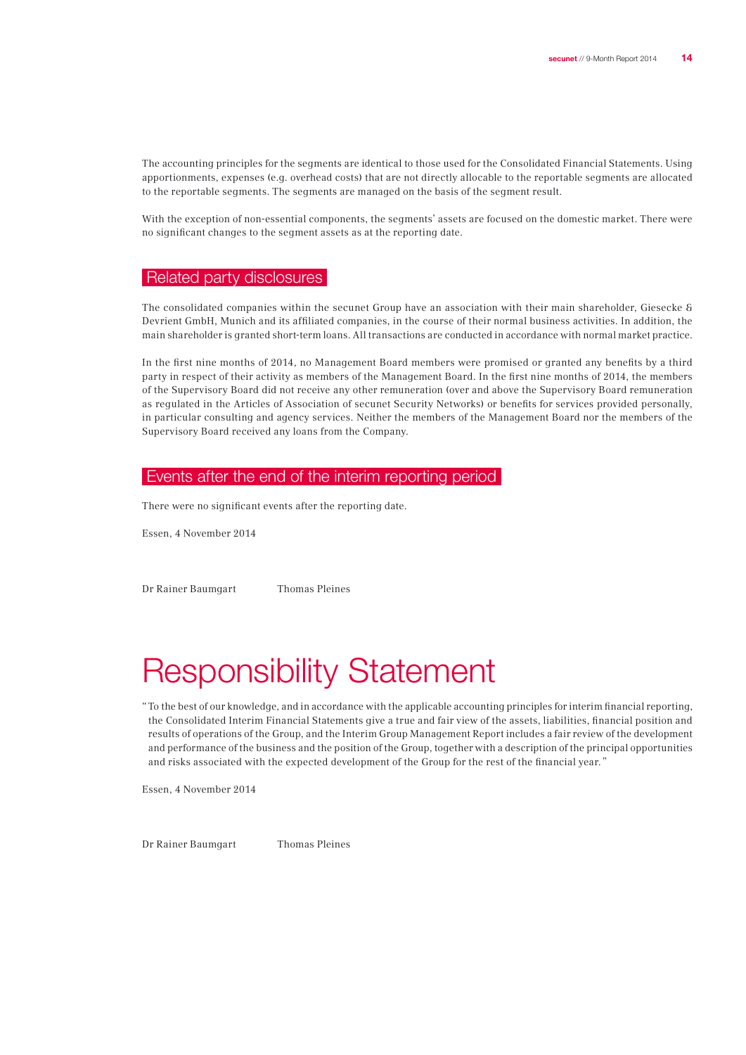The accounting principles for the segments are identical to those used for the Consolidated Financial Statements. Using apportionments, expenses (e.g. overhead costs) that are not directly allocable to the reportable segments are allocated to the reportable segments. The segments are managed on the basis of the segment result.

With the exception of non-essential components, the segments' assets are focused on the domestic market. There were no significant changes to the segment assets as at the reporting date.

### Related party disclosures

The consolidated companies within the secunet Group have an association with their main shareholder, Giesecke & Devrient GmbH, Munich and its affiliated companies, in the course of their normal business activities. In addition, the main shareholder is granted short-term loans. All transactions are conducted in accordance with normal market practice.

In the first nine months of 2014, no Management Board members were promised or granted any benefits by a third party in respect of their activity as members of the Management Board. In the first nine months of 2014, the members of the Supervisory Board did not receive any other remuneration (over and above the Supervisory Board remuneration as regulated in the Articles of Association of secunet Security Networks) or benefits for services provided personally, in particular consulting and agency services. Neither the members of the Management Board nor the members of the Supervisory Board received any loans from the Company.

#### Events after the end of the interim reporting period

There were no significant events after the reporting date.

Essen, 4 November 2014

Dr Rainer Baumgart Thomas Pleines

# Responsibility Statement

"  To the best of our knowledge, and in accordance with the applicable accounting principles for interim financial reporting, the Consolidated Interim Financial Statements give a true and fair view of the assets, liabilities, financial position and results of operations of the Group, and the Interim Group Management Report includes a fair review of the development and performance of the business and the position of the Group, together with a description of the principal opportunities and risks associated with the expected development of the Group for the rest of the financial year. "

Essen, 4 November 2014

Dr Rainer Baumgart Thomas Pleines